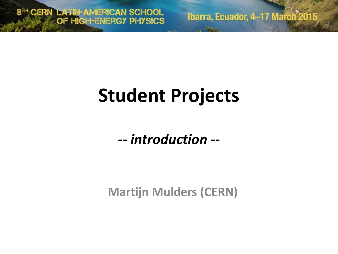8TH CERN LATIN-AMERICAN SCHOOL

Ibarra, Ecuador, 4-17 March<sup>2015</sup>

# **Student Projects**

*-- introduction --*

**Martijn Mulders (CERN)**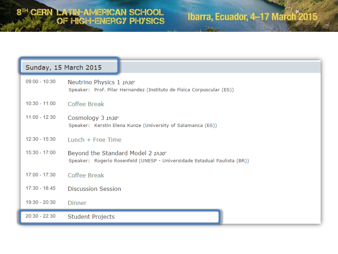#### Ibarra, Ecuador, 4-17 March<sup>2015</sup>

| Sunday, 15 March 2015 |                                                                                                               |
|-----------------------|---------------------------------------------------------------------------------------------------------------|
| $09:00 - 10:30$       | Neutrino Physics 1 1h30'<br>Speaker: Prof. Pilar Hernandez (Instituto de Fisica Corpuscular (ES))             |
| $10:30 - 11:00$       | Coffee Break                                                                                                  |
| $11:00 - 12:30$       | Cosmology 3 1h30'<br>Speaker: Kerstin Elena Kunze (University of Salamanca (ES))                              |
| $12:30 - 15:30$       | Lunch $+$ Free Time                                                                                           |
| 15:30 - 17:00         | Beyond the Standard Model 2 1h30'<br>Speaker: Rogerio Rosenfeld (UNESP - Universidade Estadual Paulista (BR)) |
| $17:00 - 17:30$       | Coffee Break                                                                                                  |
| $17:30 - 18:45$       | <b>Discussion Session</b>                                                                                     |
| 19:30 - 20:30         | <b>Dinner</b>                                                                                                 |
| $20:30 - 22:30$       | Student Projects                                                                                              |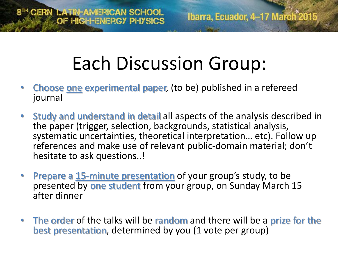# Each Discussion Group:

- **Choose one experimental paper, (to be) published in a refereed** journal
- Study and understand in detail all aspects of the analysis described in the paper (trigger, selection, backgrounds, statistical analysis, systematic uncertainties, theoretical interpretation… etc). Follow up references and make use of relevant public-domain material; don't hesitate to ask questions..!
- **Prepare a 15-minute presentation of your group's study, to be** presented by one student from your group, on Sunday March 15 after dinner
- The order of the talks will be random and there will be a prize for the best presentation, determined by you (1 vote per group)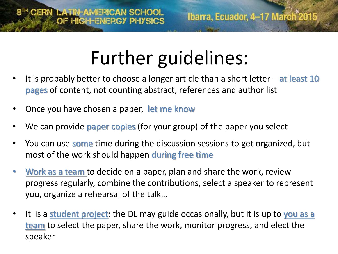## Further guidelines:

- It is probably better to choose a longer article than a short letter  $-$  at least 10 pages of content, not counting abstract, references and author list
- Once you have chosen a paper, let me know
- We can provide paper copies (for your group) of the paper you select
- You can use **some** time during the discussion sessions to get organized, but most of the work should happen during free time
- Work as a team to decide on a paper, plan and share the work, review progress regularly, combine the contributions, select a speaker to represent you, organize a rehearsal of the talk…
- It is a **student project**: the DL may guide occasionally, but it is up to you as a team to select the paper, share the work, monitor progress, and elect the speaker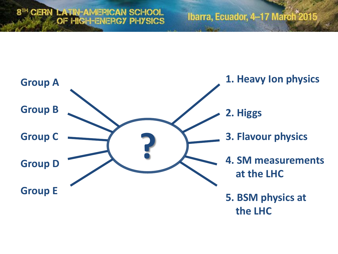### 8TH CERN LATIN-AMERICAN SCHOOL

#### Ibarra, Ecuador, 4-17 March 2015